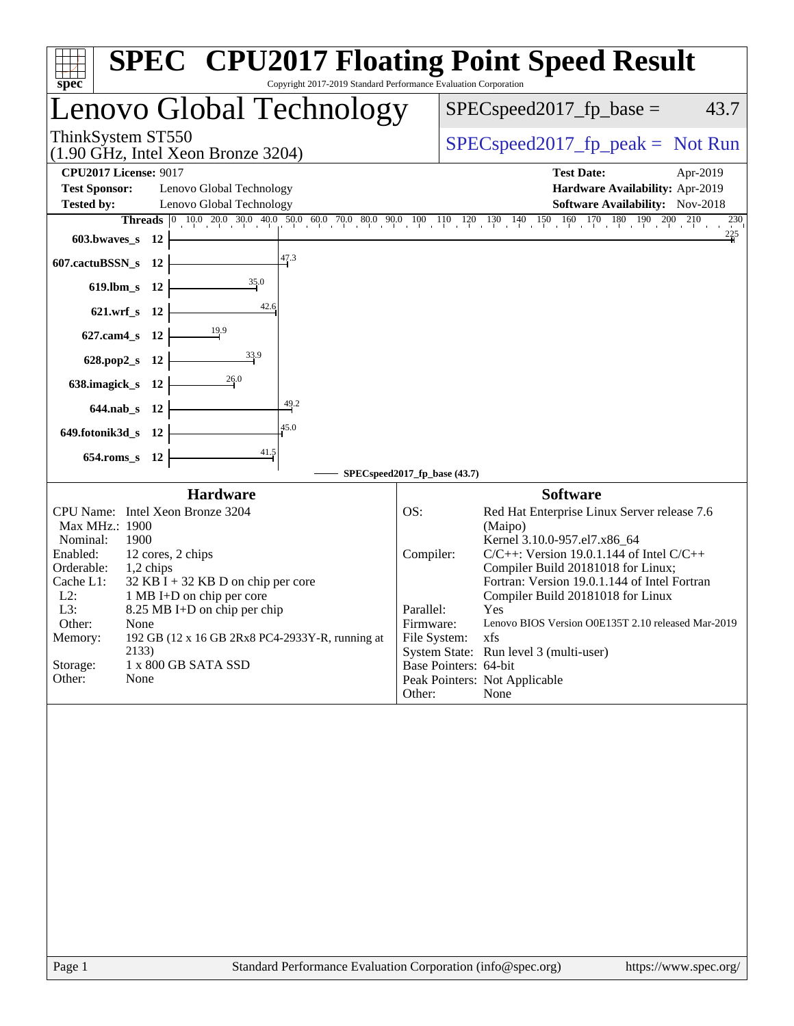| Copyright 2017-2019 Standard Performance Evaluation Corporation<br>spec <sup>®</sup>                                                                                                                                                                                                                                                                                                                                                   | <b>SPEC<sup>®</sup></b> CPU2017 Floating Point Speed Result                                                                                                                                                                                                                                                                                                                                                                                                                                                                                   |
|----------------------------------------------------------------------------------------------------------------------------------------------------------------------------------------------------------------------------------------------------------------------------------------------------------------------------------------------------------------------------------------------------------------------------------------|-----------------------------------------------------------------------------------------------------------------------------------------------------------------------------------------------------------------------------------------------------------------------------------------------------------------------------------------------------------------------------------------------------------------------------------------------------------------------------------------------------------------------------------------------|
| Lenovo Global Technology                                                                                                                                                                                                                                                                                                                                                                                                               | $SPEC speed2017_fp\_base =$<br>43.7                                                                                                                                                                                                                                                                                                                                                                                                                                                                                                           |
| ThinkSystem ST550<br>$(1.90 \text{ GHz}, \text{Intel Xeon Bronze } 3204)$                                                                                                                                                                                                                                                                                                                                                              | $SPEC speed2017_fp\_peak = Not Run$                                                                                                                                                                                                                                                                                                                                                                                                                                                                                                           |
| <b>CPU2017 License: 9017</b><br><b>Test Sponsor:</b><br>Lenovo Global Technology<br><b>Tested by:</b><br>Lenovo Global Technology<br>603.bwaves_s 12<br>47.3<br>607.cactuBSSN_s 12<br>35.0<br>619.lbm_s 12<br>42.6<br>621.wrf_s 12<br>627.cam4_s 12<br>33.9<br>628.pop2_s 12<br>26.0<br>638.imagick_s 12<br>49.2<br>644.nab_s 12<br>45.0<br>649.fotonik3d_s 12<br>41.5<br>654.roms_s 12                                                | <b>Test Date:</b><br>Apr-2019<br>Hardware Availability: Apr-2019<br>Software Availability: Nov-2018<br>230<br>$\frac{225}{4}$                                                                                                                                                                                                                                                                                                                                                                                                                 |
|                                                                                                                                                                                                                                                                                                                                                                                                                                        | SPECspeed2017_fp_base (43.7)                                                                                                                                                                                                                                                                                                                                                                                                                                                                                                                  |
| <b>Hardware</b><br>CPU Name: Intel Xeon Bronze 3204<br>Max MHz.: 1900<br>Nominal:<br>1900<br>Enabled:<br>12 cores, 2 chips<br>Orderable:<br>1,2 chips<br>Cache L1:<br>$32$ KB I + 32 KB D on chip per core<br>$L2$ :<br>1 MB I+D on chip per core<br>L3:<br>8.25 MB I+D on chip per chip<br>Other:<br>None<br>192 GB (12 x 16 GB 2Rx8 PC4-2933Y-R, running at<br>Memory:<br>2133)<br>Storage:<br>1 x 800 GB SATA SSD<br>Other:<br>None | <b>Software</b><br>OS:<br>Red Hat Enterprise Linux Server release 7.6<br>(Maipo)<br>Kernel 3.10.0-957.el7.x86_64<br>$C/C++$ : Version 19.0.1.144 of Intel $C/C++$<br>Compiler:<br>Compiler Build 20181018 for Linux;<br>Fortran: Version 19.0.1.144 of Intel Fortran<br>Compiler Build 20181018 for Linux<br>Parallel:<br>Yes<br>Firmware:<br>Lenovo BIOS Version O0E135T 2.10 released Mar-2019<br>File System:<br>xfs<br>System State: Run level 3 (multi-user)<br>Base Pointers: 64-bit<br>Peak Pointers: Not Applicable<br>Other:<br>None |
|                                                                                                                                                                                                                                                                                                                                                                                                                                        |                                                                                                                                                                                                                                                                                                                                                                                                                                                                                                                                               |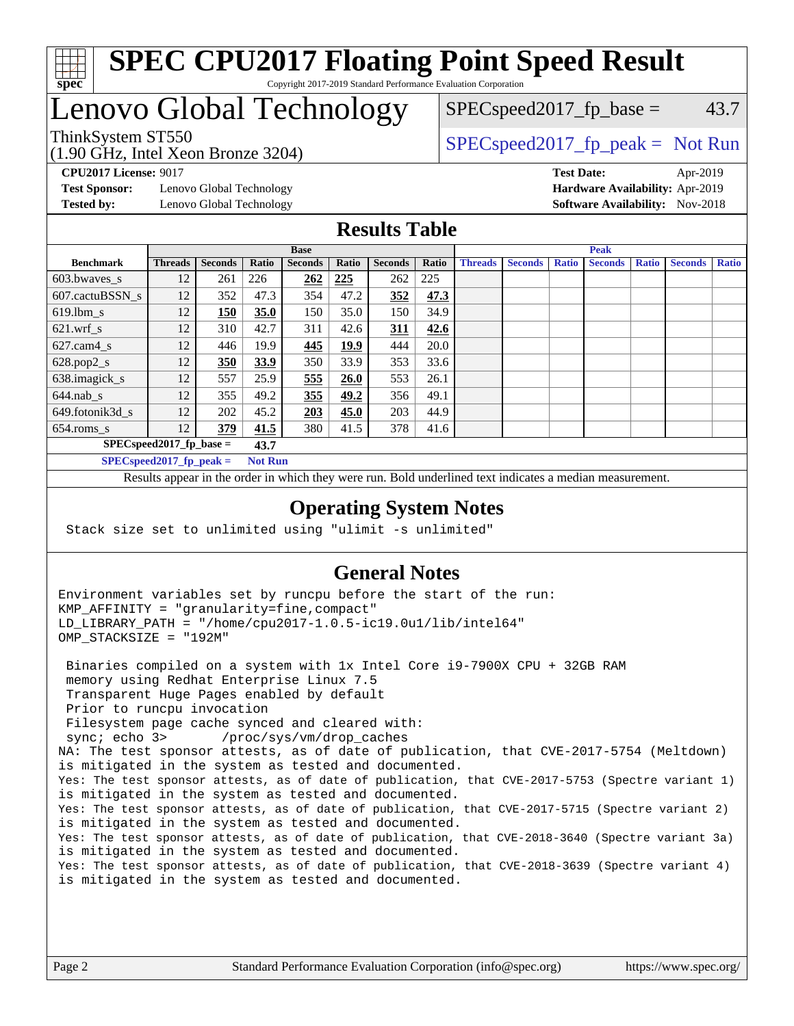

# Lenovo Global Technology

(1.90 GHz, Intel Xeon Bronze 3204)

ThinkSystem ST550  $SPEC speed2017_f p_peak = Not Run$  $SPEC speed2017_fp\_base = 43.7$ 

**[Test Sponsor:](http://www.spec.org/auto/cpu2017/Docs/result-fields.html#TestSponsor)** Lenovo Global Technology **[Hardware Availability:](http://www.spec.org/auto/cpu2017/Docs/result-fields.html#HardwareAvailability)** Apr-2019 **[Tested by:](http://www.spec.org/auto/cpu2017/Docs/result-fields.html#Testedby)** Lenovo Global Technology **[Software Availability:](http://www.spec.org/auto/cpu2017/Docs/result-fields.html#SoftwareAvailability)** Nov-2018

**[CPU2017 License:](http://www.spec.org/auto/cpu2017/Docs/result-fields.html#CPU2017License)** 9017 **[Test Date:](http://www.spec.org/auto/cpu2017/Docs/result-fields.html#TestDate)** Apr-2019

### **[Results Table](http://www.spec.org/auto/cpu2017/Docs/result-fields.html#ResultsTable)**

|                                    | <b>Base</b>                |                |                |                |             | <b>Peak</b>    |       |                |                |              |                |              |                |              |
|------------------------------------|----------------------------|----------------|----------------|----------------|-------------|----------------|-------|----------------|----------------|--------------|----------------|--------------|----------------|--------------|
| <b>Benchmark</b>                   | <b>Threads</b>             | <b>Seconds</b> | Ratio          | <b>Seconds</b> | Ratio       | <b>Seconds</b> | Ratio | <b>Threads</b> | <b>Seconds</b> | <b>Ratio</b> | <b>Seconds</b> | <b>Ratio</b> | <b>Seconds</b> | <b>Ratio</b> |
| 603.bwayes s                       | 12                         | 261            | 226            | 262            | 225         | 262            | 225   |                |                |              |                |              |                |              |
| 607.cactuBSSN s                    | 12                         | 352            | 47.3           | 354            | 47.2        | 352            | 47.3  |                |                |              |                |              |                |              |
| $619.$ lbm_s                       | 12                         | 150            | 35.0           | 150            | 35.0        | 150            | 34.9  |                |                |              |                |              |                |              |
| $621.wrf$ s                        | 12                         | 310            | 42.7           | 311            | 42.6        | 311            | 42.6  |                |                |              |                |              |                |              |
| $627$ .cam4 s                      | 12                         | 446            | 19.9           | 445            | <u>19.9</u> | 444            | 20.0  |                |                |              |                |              |                |              |
| $628.pop2_s$                       | 12                         | 350            | 33.9           | 350            | 33.9        | 353            | 33.6  |                |                |              |                |              |                |              |
| 638.imagick_s                      | 12                         | 557            | 25.9           | 555            | <b>26.0</b> | 553            | 26.1  |                |                |              |                |              |                |              |
| $644$ .nab s                       | 12                         | 355            | 49.2           | 355            | 49.2        | 356            | 49.1  |                |                |              |                |              |                |              |
| 649.fotonik3d s                    | 12                         | 202            | 45.2           | 203            | 45.0        | 203            | 44.9  |                |                |              |                |              |                |              |
| $654$ .roms s                      | 12                         | 379            | 41.5           | 380            | 41.5        | 378            | 41.6  |                |                |              |                |              |                |              |
| $SPEC speed2017$ fp base =<br>43.7 |                            |                |                |                |             |                |       |                |                |              |                |              |                |              |
|                                    | SPECspeed 2017 fp peak $=$ |                | <b>Not Run</b> |                |             |                |       |                |                |              |                |              |                |              |

Results appear in the [order in which they were run.](http://www.spec.org/auto/cpu2017/Docs/result-fields.html#RunOrder) Bold underlined text [indicates a median measurement](http://www.spec.org/auto/cpu2017/Docs/result-fields.html#Median).

### **[Operating System Notes](http://www.spec.org/auto/cpu2017/Docs/result-fields.html#OperatingSystemNotes)**

Stack size set to unlimited using "ulimit -s unlimited"

### **[General Notes](http://www.spec.org/auto/cpu2017/Docs/result-fields.html#GeneralNotes)**

Environment variables set by runcpu before the start of the run: KMP\_AFFINITY = "granularity=fine,compact" LD\_LIBRARY\_PATH = "/home/cpu2017-1.0.5-ic19.0u1/lib/intel64" OMP\_STACKSIZE = "192M"

 Binaries compiled on a system with 1x Intel Core i9-7900X CPU + 32GB RAM memory using Redhat Enterprise Linux 7.5 Transparent Huge Pages enabled by default Prior to runcpu invocation Filesystem page cache synced and cleared with: sync; echo 3> /proc/sys/vm/drop\_caches NA: The test sponsor attests, as of date of publication, that CVE-2017-5754 (Meltdown) is mitigated in the system as tested and documented. Yes: The test sponsor attests, as of date of publication, that CVE-2017-5753 (Spectre variant 1) is mitigated in the system as tested and documented. Yes: The test sponsor attests, as of date of publication, that CVE-2017-5715 (Spectre variant 2) is mitigated in the system as tested and documented. Yes: The test sponsor attests, as of date of publication, that CVE-2018-3640 (Spectre variant 3a) is mitigated in the system as tested and documented. Yes: The test sponsor attests, as of date of publication, that CVE-2018-3639 (Spectre variant 4) is mitigated in the system as tested and documented.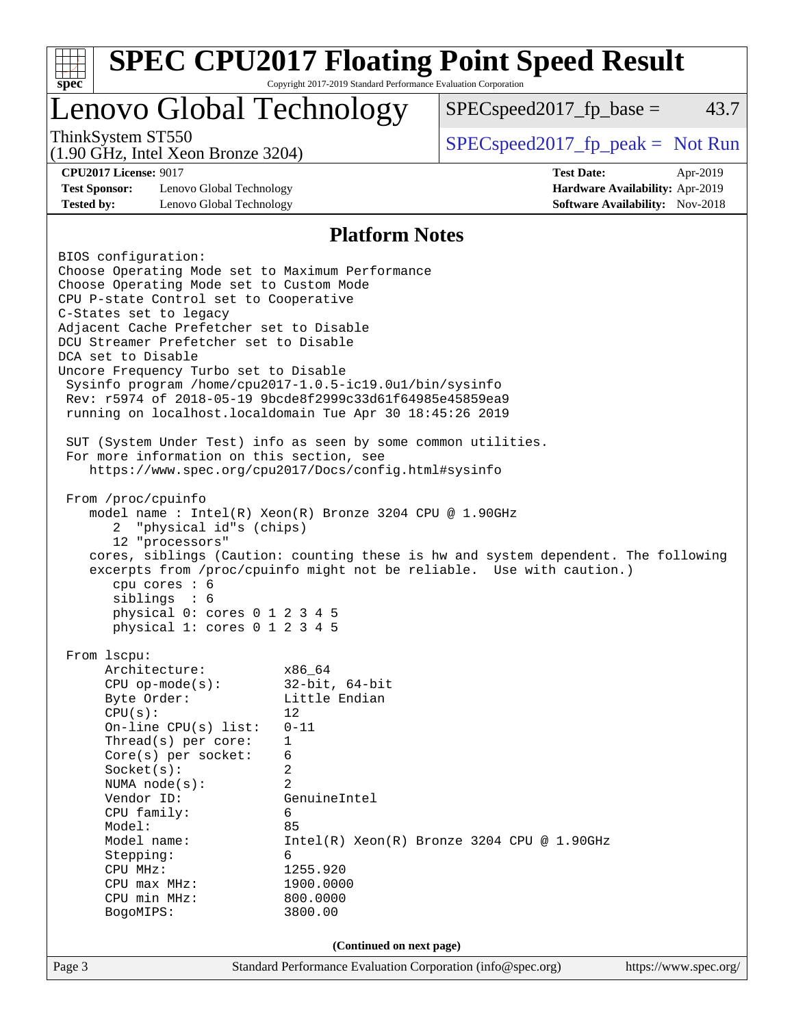| $spec^*$                                                                                                                                                                                                                                                                                                                                                                                                                                                                                                     | Copyright 2017-2019 Standard Performance Evaluation Corporation                                                                                                                              | <b>SPEC CPU2017 Floating Point Speed Result</b> |                                             |  |
|--------------------------------------------------------------------------------------------------------------------------------------------------------------------------------------------------------------------------------------------------------------------------------------------------------------------------------------------------------------------------------------------------------------------------------------------------------------------------------------------------------------|----------------------------------------------------------------------------------------------------------------------------------------------------------------------------------------------|-------------------------------------------------|---------------------------------------------|--|
| Lenovo Global Technology                                                                                                                                                                                                                                                                                                                                                                                                                                                                                     |                                                                                                                                                                                              | $SPEC speed2017fp base =$                       | 43.7                                        |  |
| ThinkSystem ST550<br>$(1.90 \text{ GHz}, \text{Intel Xeon Bronze } 3204)$                                                                                                                                                                                                                                                                                                                                                                                                                                    |                                                                                                                                                                                              | $SPEC speed2017rfp peak = Not Run$              |                                             |  |
| <b>CPU2017 License: 9017</b><br><b>Test Sponsor:</b><br>Lenovo Global Technology                                                                                                                                                                                                                                                                                                                                                                                                                             |                                                                                                                                                                                              | <b>Test Date:</b>                               | Apr-2019<br>Hardware Availability: Apr-2019 |  |
| <b>Tested by:</b><br>Lenovo Global Technology                                                                                                                                                                                                                                                                                                                                                                                                                                                                |                                                                                                                                                                                              |                                                 | <b>Software Availability:</b> Nov-2018      |  |
| BIOS configuration:                                                                                                                                                                                                                                                                                                                                                                                                                                                                                          | <b>Platform Notes</b>                                                                                                                                                                        |                                                 |                                             |  |
| Choose Operating Mode set to Maximum Performance<br>Choose Operating Mode set to Custom Mode<br>CPU P-state Control set to Cooperative<br>C-States set to legacy<br>Adjacent Cache Prefetcher set to Disable<br>DCU Streamer Prefetcher set to Disable<br>DCA set to Disable<br>Uncore Frequency Turbo set to Disable<br>Sysinfo program /home/cpu2017-1.0.5-ic19.0ul/bin/sysinfo<br>Rev: r5974 of 2018-05-19 9bcde8f2999c33d61f64985e45859ea9<br>running on localhost. localdomain Tue Apr 30 18:45:26 2019 |                                                                                                                                                                                              |                                                 |                                             |  |
| SUT (System Under Test) info as seen by some common utilities.<br>For more information on this section, see<br>https://www.spec.org/cpu2017/Docs/config.html#sysinfo<br>From /proc/cpuinfo<br>model name : Intel(R) Xeon(R) Bronze 3204 CPU @ 1.90GHz<br>"physical id"s (chips)<br>2                                                                                                                                                                                                                         |                                                                                                                                                                                              |                                                 |                                             |  |
| 12 "processors"<br>cores, siblings (Caution: counting these is hw and system dependent. The following<br>excerpts from /proc/cpuinfo might not be reliable. Use with caution.)<br>cpu cores : 6<br>siblings<br>: 6<br>physical 0: cores 0 1 2 3 4 5<br>physical 1: cores 0 1 2 3 4 5                                                                                                                                                                                                                         |                                                                                                                                                                                              |                                                 |                                             |  |
| From 1scpu:<br>Architecture:<br>$CPU$ op-mode( $s$ ):<br>Byte Order:<br>CPU(s):<br>On-line $CPU(s)$ list:<br>Thread( $s$ ) per core:<br>Core(s) per socket:<br>Socket(s):<br>NUMA node(s):<br>Vendor ID:<br>CPU family:<br>Model:<br>Model name:<br>Stepping:<br>CPU MHz:<br>CPU max MHz:<br>CPU min MHz:<br>BogoMIPS:                                                                                                                                                                                       | x86 64<br>$32$ -bit, $64$ -bit<br>Little Endian<br>12<br>$0 - 11$<br>$\mathbf 1$<br>6<br>2<br>$\overline{a}$<br>GenuineIntel<br>6<br>85<br>6<br>1255.920<br>1900.0000<br>800.0000<br>3800.00 | $Intel(R) Xeon(R) Bronze 3204 CPU @ 1.90GHz$    |                                             |  |
| (Continued on next page)                                                                                                                                                                                                                                                                                                                                                                                                                                                                                     |                                                                                                                                                                                              |                                                 |                                             |  |
| Page 3                                                                                                                                                                                                                                                                                                                                                                                                                                                                                                       | Standard Performance Evaluation Corporation (info@spec.org)                                                                                                                                  |                                                 | https://www.spec.org/                       |  |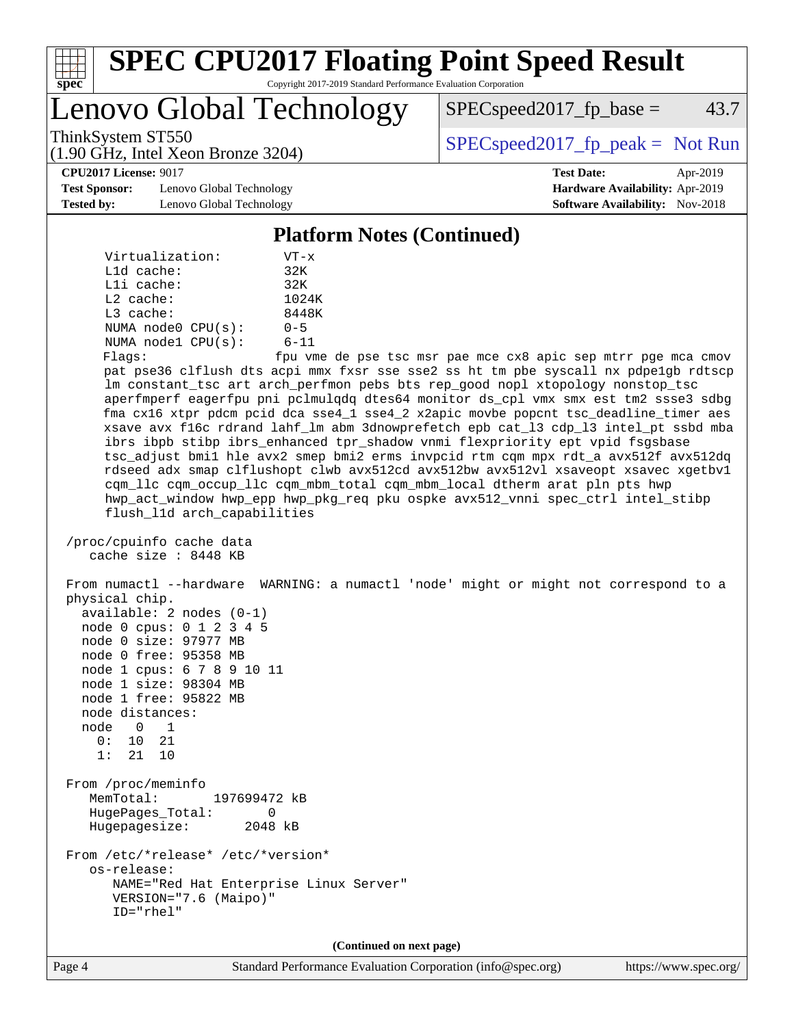

Lenovo Global Technology

 $SPEC speed2017_fp\_base = 43.7$ 

(1.90 GHz, Intel Xeon Bronze 3204)

ThinkSystem ST550  $SPEC speed2017_f p_peak = Not Run$ 

**[CPU2017 License:](http://www.spec.org/auto/cpu2017/Docs/result-fields.html#CPU2017License)** 9017 **[Test Date:](http://www.spec.org/auto/cpu2017/Docs/result-fields.html#TestDate)** Apr-2019

**[Test Sponsor:](http://www.spec.org/auto/cpu2017/Docs/result-fields.html#TestSponsor)** Lenovo Global Technology **[Hardware Availability:](http://www.spec.org/auto/cpu2017/Docs/result-fields.html#HardwareAvailability)** Apr-2019 **[Tested by:](http://www.spec.org/auto/cpu2017/Docs/result-fields.html#Testedby)** Lenovo Global Technology **[Software Availability:](http://www.spec.org/auto/cpu2017/Docs/result-fields.html#SoftwareAvailability)** Nov-2018

**[Platform Notes \(Continued\)](http://www.spec.org/auto/cpu2017/Docs/result-fields.html#PlatformNotes)**

| Virtualization:           | $VT - x$                   |
|---------------------------|----------------------------|
| $L1d$ cache:              | 32K                        |
| $L1i$ cache:              | 32K                        |
| $L2$ cache:               | 1024K                      |
| $L3$ cache:               | 8448K                      |
| NUMA $node0$ $CPU(s)$ :   | $0 - 5$                    |
| NUMA $node1$ $CPU(s)$ :   | $6 - 11$                   |
| $F1$ a $\sigma$ e $\cdot$ | $f_{\text{min}}$ $\tau$ me |

Flags: fpu vme de pse tsc msr pae mce cx8 apic sep mtrr pge mca cmov pat pse36 clflush dts acpi mmx fxsr sse sse2 ss ht tm pbe syscall nx pdpe1gb rdtscp lm constant\_tsc art arch\_perfmon pebs bts rep\_good nopl xtopology nonstop\_tsc aperfmperf eagerfpu pni pclmulqdq dtes64 monitor ds\_cpl vmx smx est tm2 ssse3 sdbg fma cx16 xtpr pdcm pcid dca sse4\_1 sse4\_2 x2apic movbe popcnt tsc\_deadline\_timer aes xsave avx f16c rdrand lahf\_lm abm 3dnowprefetch epb cat\_l3 cdp\_l3 intel\_pt ssbd mba ibrs ibpb stibp ibrs\_enhanced tpr\_shadow vnmi flexpriority ept vpid fsgsbase tsc\_adjust bmi1 hle avx2 smep bmi2 erms invpcid rtm cqm mpx rdt\_a avx512f avx512dq rdseed adx smap clflushopt clwb avx512cd avx512bw avx512vl xsaveopt xsavec xgetbv1 cqm\_llc cqm\_occup\_llc cqm\_mbm\_total cqm\_mbm\_local dtherm arat pln pts hwp hwp\_act\_window hwp\_epp hwp\_pkg\_req pku ospke avx512\_vnni spec\_ctrl intel\_stibp flush\_l1d arch\_capabilities

```
 /proc/cpuinfo cache data
cache size : 8448 KB
```
 From numactl --hardware WARNING: a numactl 'node' might or might not correspond to a physical chip. available: 2 nodes (0-1) node 0 cpus: 0 1 2 3 4 5 node 0 size: 97977 MB node 0 free: 95358 MB node 1 cpus: 6 7 8 9 10 11 node 1 size: 98304 MB node 1 free: 95822 MB node distances: node 0 1 0: 10 21 1: 21 10 From /proc/meminfo MemTotal: 197699472 kB HugePages\_Total: 0 Hugepagesize: 2048 kB From /etc/\*release\* /etc/\*version\* os-release: NAME="Red Hat Enterprise Linux Server" VERSION="7.6 (Maipo)" ID="rhel"

**(Continued on next page)**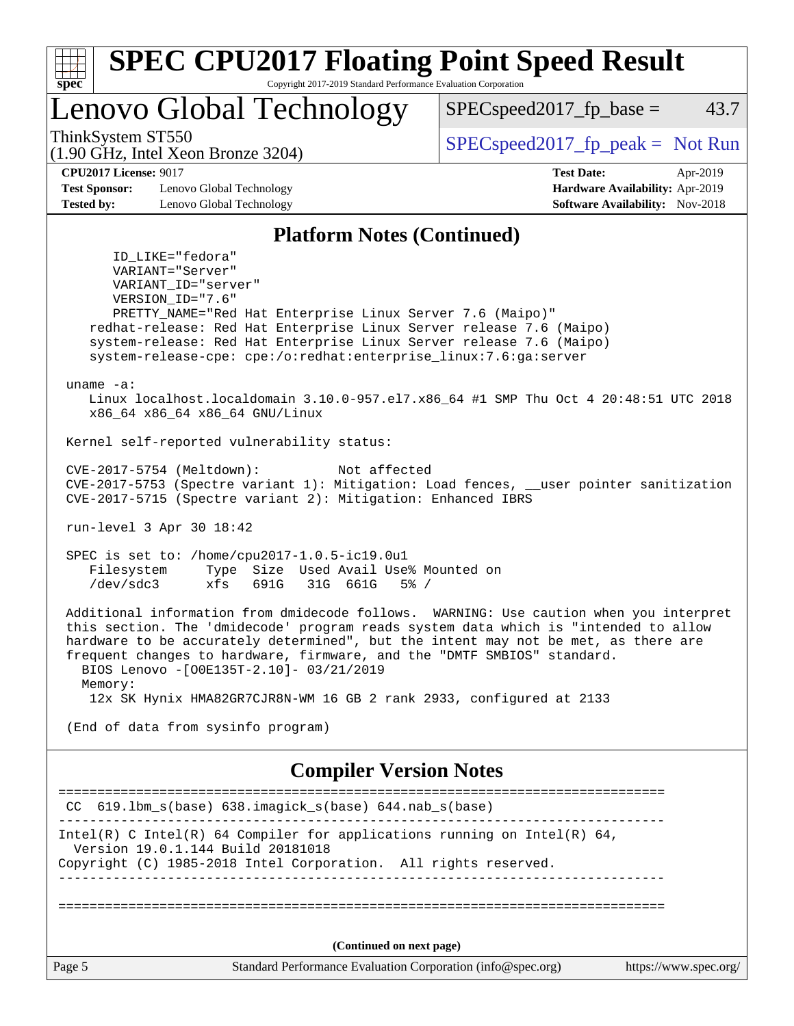| Lenovo Global Technology                                                                                                                                                                                                                                                                                                                                                                             | 43.7<br>$SPEC speed2017_fp\_base =$                                                                        |
|------------------------------------------------------------------------------------------------------------------------------------------------------------------------------------------------------------------------------------------------------------------------------------------------------------------------------------------------------------------------------------------------------|------------------------------------------------------------------------------------------------------------|
| ThinkSystem ST550                                                                                                                                                                                                                                                                                                                                                                                    | $SPEC speed2017fr peak = Not Run$                                                                          |
| $(1.90 \text{ GHz}, \text{Intel Xeon Bronze } 3204)$<br><b>CPU2017 License: 9017</b><br><b>Test Sponsor:</b><br>Lenovo Global Technology<br><b>Tested by:</b><br>Lenovo Global Technology                                                                                                                                                                                                            | <b>Test Date:</b><br>Apr-2019<br>Hardware Availability: Apr-2019<br><b>Software Availability:</b> Nov-2018 |
| <b>Platform Notes (Continued)</b>                                                                                                                                                                                                                                                                                                                                                                    |                                                                                                            |
| ID LIKE="fedora"<br>VARIANT="Server"<br>VARIANT_ID="server"<br>VERSION ID="7.6"<br>PRETTY_NAME="Red Hat Enterprise Linux Server 7.6 (Maipo)"<br>redhat-release: Red Hat Enterprise Linux Server release 7.6 (Maipo)<br>system-release: Red Hat Enterprise Linux Server release 7.6 (Maipo)<br>system-release-cpe: cpe:/o:redhat:enterprise_linux:7.6:ga:server                                       |                                                                                                            |
| uname $-a$ :<br>Linux localhost.localdomain 3.10.0-957.el7.x86_64 #1 SMP Thu Oct 4 20:48:51 UTC 2018<br>x86_64 x86_64 x86_64 GNU/Linux                                                                                                                                                                                                                                                               |                                                                                                            |
| Kernel self-reported vulnerability status:                                                                                                                                                                                                                                                                                                                                                           |                                                                                                            |
| CVE-2017-5754 (Meltdown):<br>Not affected<br>CVE-2017-5753 (Spectre variant 1): Mitigation: Load fences, __user pointer sanitization<br>CVE-2017-5715 (Spectre variant 2): Mitigation: Enhanced IBRS                                                                                                                                                                                                 |                                                                                                            |
| run-level 3 Apr 30 18:42                                                                                                                                                                                                                                                                                                                                                                             |                                                                                                            |
| SPEC is set to: /home/cpu2017-1.0.5-ic19.0u1<br>Type Size Used Avail Use% Mounted on<br>Filesystem<br>/dev/sdc3<br>xfs<br>691G<br>31G 661G<br>$5\%$ /                                                                                                                                                                                                                                                |                                                                                                            |
| Additional information from dmidecode follows. WARNING: Use caution when you interpret<br>this section. The 'dmidecode' program reads system data which is "intended to allow<br>hardware to be accurately determined", but the intent may not be met, as there are<br>frequent changes to hardware, firmware, and the "DMTF SMBIOS" standard.<br>BIOS Lenovo -[O0E135T-2.10]- 03/21/2019<br>Memory: |                                                                                                            |
| 12x SK Hynix HMA82GR7CJR8N-WM 16 GB 2 rank 2933, configured at 2133                                                                                                                                                                                                                                                                                                                                  |                                                                                                            |
| (End of data from sysinfo program)                                                                                                                                                                                                                                                                                                                                                                   |                                                                                                            |
| <b>Compiler Version Notes</b>                                                                                                                                                                                                                                                                                                                                                                        |                                                                                                            |
| ===================<br>$CC$ 619.1bm_s(base) 638.imagick_s(base) 644.nab_s(base)                                                                                                                                                                                                                                                                                                                      | ===================================                                                                        |
| Intel(R) C Intel(R) 64 Compiler for applications running on Intel(R) 64,<br>Version 19.0.1.144 Build 20181018<br>Copyright (C) 1985-2018 Intel Corporation. All rights reserved.                                                                                                                                                                                                                     |                                                                                                            |
|                                                                                                                                                                                                                                                                                                                                                                                                      |                                                                                                            |
|                                                                                                                                                                                                                                                                                                                                                                                                      |                                                                                                            |
| (Continued on next page)                                                                                                                                                                                                                                                                                                                                                                             |                                                                                                            |
| Page 5<br>Standard Performance Evaluation Corporation (info@spec.org)                                                                                                                                                                                                                                                                                                                                | https://www.spec.org/                                                                                      |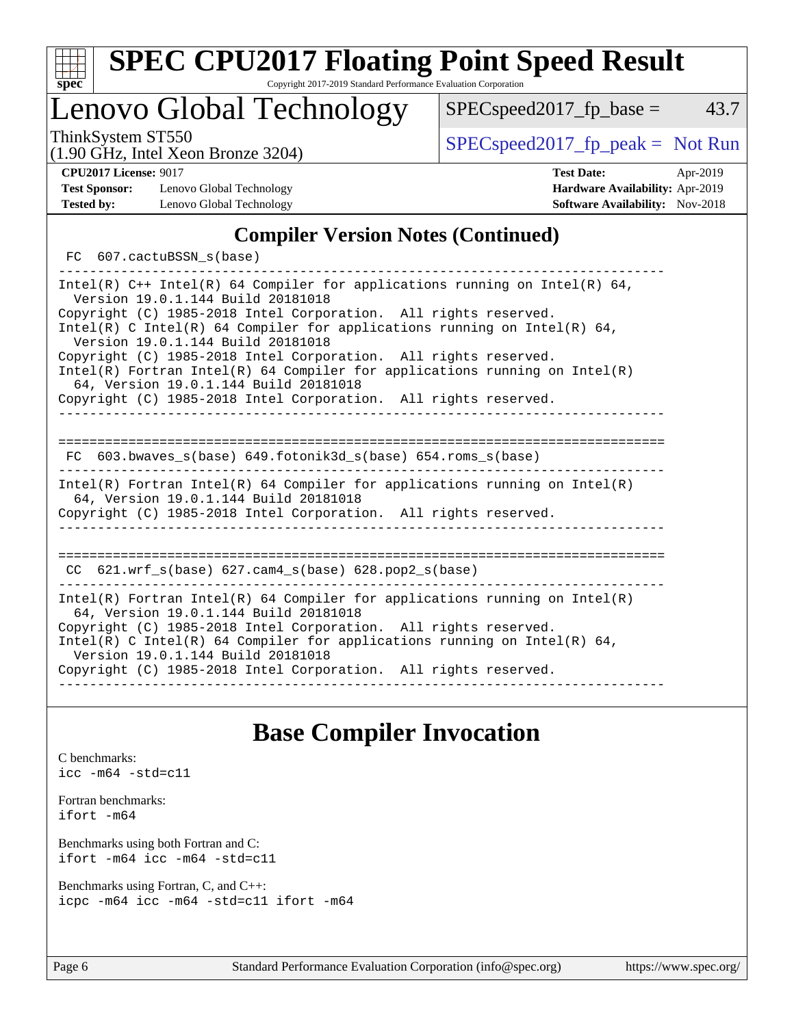| ч<br>œ<br>п.<br>c |  |  |  |  |
|-------------------|--|--|--|--|

# Lenovo Global Technology

ThinkSystem ST550  $SPEC speed2017$  [p\_peak = Not Run

 $SPEC speed2017_fp\_base = 43.7$ 

(1.90 GHz, Intel Xeon Bronze 3204)

**[Test Sponsor:](http://www.spec.org/auto/cpu2017/Docs/result-fields.html#TestSponsor)** Lenovo Global Technology **[Hardware Availability:](http://www.spec.org/auto/cpu2017/Docs/result-fields.html#HardwareAvailability)** Apr-2019 **[Tested by:](http://www.spec.org/auto/cpu2017/Docs/result-fields.html#Testedby)** Lenovo Global Technology **[Software Availability:](http://www.spec.org/auto/cpu2017/Docs/result-fields.html#SoftwareAvailability)** Nov-2018

**[CPU2017 License:](http://www.spec.org/auto/cpu2017/Docs/result-fields.html#CPU2017License)** 9017 **[Test Date:](http://www.spec.org/auto/cpu2017/Docs/result-fields.html#TestDate)** Apr-2019

### **[Compiler Version Notes \(Continued\)](http://www.spec.org/auto/cpu2017/Docs/result-fields.html#CompilerVersionNotes)**

FC 607.cactuBSSN s(base)

------------------------------------------------------------------------------ Intel(R)  $C++$  Intel(R) 64 Compiler for applications running on Intel(R) 64, Version 19.0.1.144 Build 20181018 Copyright (C) 1985-2018 Intel Corporation. All rights reserved. Intel(R) C Intel(R) 64 Compiler for applications running on Intel(R) 64, Version 19.0.1.144 Build 20181018 Copyright (C) 1985-2018 Intel Corporation. All rights reserved. Intel(R) Fortran Intel(R) 64 Compiler for applications running on Intel(R) 64, Version 19.0.1.144 Build 20181018 Copyright (C) 1985-2018 Intel Corporation. All rights reserved. ------------------------------------------------------------------------------ ============================================================================== FC 603.bwaves\_s(base) 649.fotonik3d\_s(base) 654.roms\_s(base) ------------------------------------------------------------------------------ Intel(R) Fortran Intel(R) 64 Compiler for applications running on Intel(R) 64, Version 19.0.1.144 Build 20181018 Copyright (C) 1985-2018 Intel Corporation. All rights reserved. ------------------------------------------------------------------------------ ============================================================================== CC 621.wrf\_s(base) 627.cam4\_s(base) 628.pop2\_s(base) ------------------------------------------------------------------------------ Intel(R) Fortran Intel(R) 64 Compiler for applications running on Intel(R) 64, Version 19.0.1.144 Build 20181018 Copyright (C) 1985-2018 Intel Corporation. All rights reserved. Intel(R) C Intel(R) 64 Compiler for applications running on Intel(R) 64, Version 19.0.1.144 Build 20181018 Copyright (C) 1985-2018 Intel Corporation. All rights reserved. ------------------------------------------------------------------------------

### **[Base Compiler Invocation](http://www.spec.org/auto/cpu2017/Docs/result-fields.html#BaseCompilerInvocation)**

[C benchmarks](http://www.spec.org/auto/cpu2017/Docs/result-fields.html#Cbenchmarks): [icc -m64 -std=c11](http://www.spec.org/cpu2017/results/res2019q2/cpu2017-20190528-14855.flags.html#user_CCbase_intel_icc_64bit_c11_33ee0cdaae7deeeab2a9725423ba97205ce30f63b9926c2519791662299b76a0318f32ddfffdc46587804de3178b4f9328c46fa7c2b0cd779d7a61945c91cd35)

[Fortran benchmarks](http://www.spec.org/auto/cpu2017/Docs/result-fields.html#Fortranbenchmarks): [ifort -m64](http://www.spec.org/cpu2017/results/res2019q2/cpu2017-20190528-14855.flags.html#user_FCbase_intel_ifort_64bit_24f2bb282fbaeffd6157abe4f878425411749daecae9a33200eee2bee2fe76f3b89351d69a8130dd5949958ce389cf37ff59a95e7a40d588e8d3a57e0c3fd751)

[Benchmarks using both Fortran and C](http://www.spec.org/auto/cpu2017/Docs/result-fields.html#BenchmarksusingbothFortranandC): [ifort -m64](http://www.spec.org/cpu2017/results/res2019q2/cpu2017-20190528-14855.flags.html#user_CC_FCbase_intel_ifort_64bit_24f2bb282fbaeffd6157abe4f878425411749daecae9a33200eee2bee2fe76f3b89351d69a8130dd5949958ce389cf37ff59a95e7a40d588e8d3a57e0c3fd751) [icc -m64 -std=c11](http://www.spec.org/cpu2017/results/res2019q2/cpu2017-20190528-14855.flags.html#user_CC_FCbase_intel_icc_64bit_c11_33ee0cdaae7deeeab2a9725423ba97205ce30f63b9926c2519791662299b76a0318f32ddfffdc46587804de3178b4f9328c46fa7c2b0cd779d7a61945c91cd35)

[Benchmarks using Fortran, C, and C++:](http://www.spec.org/auto/cpu2017/Docs/result-fields.html#BenchmarksusingFortranCandCXX) [icpc -m64](http://www.spec.org/cpu2017/results/res2019q2/cpu2017-20190528-14855.flags.html#user_CC_CXX_FCbase_intel_icpc_64bit_4ecb2543ae3f1412ef961e0650ca070fec7b7afdcd6ed48761b84423119d1bf6bdf5cad15b44d48e7256388bc77273b966e5eb805aefd121eb22e9299b2ec9d9) [icc -m64 -std=c11](http://www.spec.org/cpu2017/results/res2019q2/cpu2017-20190528-14855.flags.html#user_CC_CXX_FCbase_intel_icc_64bit_c11_33ee0cdaae7deeeab2a9725423ba97205ce30f63b9926c2519791662299b76a0318f32ddfffdc46587804de3178b4f9328c46fa7c2b0cd779d7a61945c91cd35) [ifort -m64](http://www.spec.org/cpu2017/results/res2019q2/cpu2017-20190528-14855.flags.html#user_CC_CXX_FCbase_intel_ifort_64bit_24f2bb282fbaeffd6157abe4f878425411749daecae9a33200eee2bee2fe76f3b89351d69a8130dd5949958ce389cf37ff59a95e7a40d588e8d3a57e0c3fd751)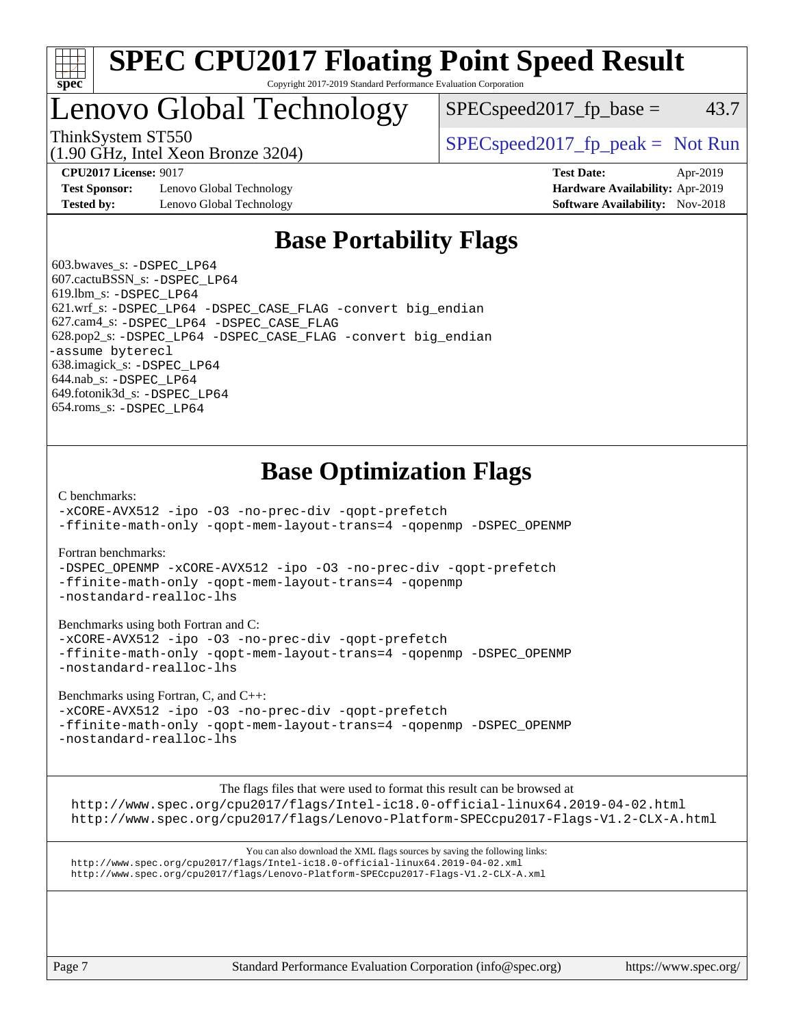

# Lenovo Global Technology

 $SPEC speed2017_fp\_base = 43.7$ 

(1.90 GHz, Intel Xeon Bronze 3204)

ThinkSystem ST550  $SPEC speed2017$  [p\_peak = Not Run

**[Test Sponsor:](http://www.spec.org/auto/cpu2017/Docs/result-fields.html#TestSponsor)** Lenovo Global Technology **[Hardware Availability:](http://www.spec.org/auto/cpu2017/Docs/result-fields.html#HardwareAvailability)** Apr-2019 **[Tested by:](http://www.spec.org/auto/cpu2017/Docs/result-fields.html#Testedby)** Lenovo Global Technology **[Software Availability:](http://www.spec.org/auto/cpu2017/Docs/result-fields.html#SoftwareAvailability)** Nov-2018

**[CPU2017 License:](http://www.spec.org/auto/cpu2017/Docs/result-fields.html#CPU2017License)** 9017 **[Test Date:](http://www.spec.org/auto/cpu2017/Docs/result-fields.html#TestDate)** Apr-2019

### **[Base Portability Flags](http://www.spec.org/auto/cpu2017/Docs/result-fields.html#BasePortabilityFlags)**

 603.bwaves\_s: [-DSPEC\\_LP64](http://www.spec.org/cpu2017/results/res2019q2/cpu2017-20190528-14855.flags.html#suite_basePORTABILITY603_bwaves_s_DSPEC_LP64) 607.cactuBSSN\_s: [-DSPEC\\_LP64](http://www.spec.org/cpu2017/results/res2019q2/cpu2017-20190528-14855.flags.html#suite_basePORTABILITY607_cactuBSSN_s_DSPEC_LP64) 619.lbm\_s: [-DSPEC\\_LP64](http://www.spec.org/cpu2017/results/res2019q2/cpu2017-20190528-14855.flags.html#suite_basePORTABILITY619_lbm_s_DSPEC_LP64) 621.wrf\_s: [-DSPEC\\_LP64](http://www.spec.org/cpu2017/results/res2019q2/cpu2017-20190528-14855.flags.html#suite_basePORTABILITY621_wrf_s_DSPEC_LP64) [-DSPEC\\_CASE\\_FLAG](http://www.spec.org/cpu2017/results/res2019q2/cpu2017-20190528-14855.flags.html#b621.wrf_s_baseCPORTABILITY_DSPEC_CASE_FLAG) [-convert big\\_endian](http://www.spec.org/cpu2017/results/res2019q2/cpu2017-20190528-14855.flags.html#user_baseFPORTABILITY621_wrf_s_convert_big_endian_c3194028bc08c63ac5d04de18c48ce6d347e4e562e8892b8bdbdc0214820426deb8554edfa529a3fb25a586e65a3d812c835984020483e7e73212c4d31a38223) 627.cam4\_s: [-DSPEC\\_LP64](http://www.spec.org/cpu2017/results/res2019q2/cpu2017-20190528-14855.flags.html#suite_basePORTABILITY627_cam4_s_DSPEC_LP64) [-DSPEC\\_CASE\\_FLAG](http://www.spec.org/cpu2017/results/res2019q2/cpu2017-20190528-14855.flags.html#b627.cam4_s_baseCPORTABILITY_DSPEC_CASE_FLAG) 628.pop2\_s: [-DSPEC\\_LP64](http://www.spec.org/cpu2017/results/res2019q2/cpu2017-20190528-14855.flags.html#suite_basePORTABILITY628_pop2_s_DSPEC_LP64) [-DSPEC\\_CASE\\_FLAG](http://www.spec.org/cpu2017/results/res2019q2/cpu2017-20190528-14855.flags.html#b628.pop2_s_baseCPORTABILITY_DSPEC_CASE_FLAG) [-convert big\\_endian](http://www.spec.org/cpu2017/results/res2019q2/cpu2017-20190528-14855.flags.html#user_baseFPORTABILITY628_pop2_s_convert_big_endian_c3194028bc08c63ac5d04de18c48ce6d347e4e562e8892b8bdbdc0214820426deb8554edfa529a3fb25a586e65a3d812c835984020483e7e73212c4d31a38223) [-assume byterecl](http://www.spec.org/cpu2017/results/res2019q2/cpu2017-20190528-14855.flags.html#user_baseFPORTABILITY628_pop2_s_assume_byterecl_7e47d18b9513cf18525430bbf0f2177aa9bf368bc7a059c09b2c06a34b53bd3447c950d3f8d6c70e3faf3a05c8557d66a5798b567902e8849adc142926523472) 638.imagick\_s: [-DSPEC\\_LP64](http://www.spec.org/cpu2017/results/res2019q2/cpu2017-20190528-14855.flags.html#suite_basePORTABILITY638_imagick_s_DSPEC_LP64) 644.nab\_s: [-DSPEC\\_LP64](http://www.spec.org/cpu2017/results/res2019q2/cpu2017-20190528-14855.flags.html#suite_basePORTABILITY644_nab_s_DSPEC_LP64) 649.fotonik3d\_s: [-DSPEC\\_LP64](http://www.spec.org/cpu2017/results/res2019q2/cpu2017-20190528-14855.flags.html#suite_basePORTABILITY649_fotonik3d_s_DSPEC_LP64) 654.roms\_s: [-DSPEC\\_LP64](http://www.spec.org/cpu2017/results/res2019q2/cpu2017-20190528-14855.flags.html#suite_basePORTABILITY654_roms_s_DSPEC_LP64)

## **[Base Optimization Flags](http://www.spec.org/auto/cpu2017/Docs/result-fields.html#BaseOptimizationFlags)**

[C benchmarks](http://www.spec.org/auto/cpu2017/Docs/result-fields.html#Cbenchmarks):

[-xCORE-AVX512](http://www.spec.org/cpu2017/results/res2019q2/cpu2017-20190528-14855.flags.html#user_CCbase_f-xCORE-AVX512) [-ipo](http://www.spec.org/cpu2017/results/res2019q2/cpu2017-20190528-14855.flags.html#user_CCbase_f-ipo) [-O3](http://www.spec.org/cpu2017/results/res2019q2/cpu2017-20190528-14855.flags.html#user_CCbase_f-O3) [-no-prec-div](http://www.spec.org/cpu2017/results/res2019q2/cpu2017-20190528-14855.flags.html#user_CCbase_f-no-prec-div) [-qopt-prefetch](http://www.spec.org/cpu2017/results/res2019q2/cpu2017-20190528-14855.flags.html#user_CCbase_f-qopt-prefetch) [-ffinite-math-only](http://www.spec.org/cpu2017/results/res2019q2/cpu2017-20190528-14855.flags.html#user_CCbase_f_finite_math_only_cb91587bd2077682c4b38af759c288ed7c732db004271a9512da14a4f8007909a5f1427ecbf1a0fb78ff2a814402c6114ac565ca162485bbcae155b5e4258871) [-qopt-mem-layout-trans=4](http://www.spec.org/cpu2017/results/res2019q2/cpu2017-20190528-14855.flags.html#user_CCbase_f-qopt-mem-layout-trans_fa39e755916c150a61361b7846f310bcdf6f04e385ef281cadf3647acec3f0ae266d1a1d22d972a7087a248fd4e6ca390a3634700869573d231a252c784941a8) [-qopenmp](http://www.spec.org/cpu2017/results/res2019q2/cpu2017-20190528-14855.flags.html#user_CCbase_qopenmp_16be0c44f24f464004c6784a7acb94aca937f053568ce72f94b139a11c7c168634a55f6653758ddd83bcf7b8463e8028bb0b48b77bcddc6b78d5d95bb1df2967) [-DSPEC\\_OPENMP](http://www.spec.org/cpu2017/results/res2019q2/cpu2017-20190528-14855.flags.html#suite_CCbase_DSPEC_OPENMP)

[Fortran benchmarks](http://www.spec.org/auto/cpu2017/Docs/result-fields.html#Fortranbenchmarks):

[-DSPEC\\_OPENMP](http://www.spec.org/cpu2017/results/res2019q2/cpu2017-20190528-14855.flags.html#suite_FCbase_DSPEC_OPENMP) [-xCORE-AVX512](http://www.spec.org/cpu2017/results/res2019q2/cpu2017-20190528-14855.flags.html#user_FCbase_f-xCORE-AVX512) [-ipo](http://www.spec.org/cpu2017/results/res2019q2/cpu2017-20190528-14855.flags.html#user_FCbase_f-ipo) [-O3](http://www.spec.org/cpu2017/results/res2019q2/cpu2017-20190528-14855.flags.html#user_FCbase_f-O3) [-no-prec-div](http://www.spec.org/cpu2017/results/res2019q2/cpu2017-20190528-14855.flags.html#user_FCbase_f-no-prec-div) [-qopt-prefetch](http://www.spec.org/cpu2017/results/res2019q2/cpu2017-20190528-14855.flags.html#user_FCbase_f-qopt-prefetch) [-ffinite-math-only](http://www.spec.org/cpu2017/results/res2019q2/cpu2017-20190528-14855.flags.html#user_FCbase_f_finite_math_only_cb91587bd2077682c4b38af759c288ed7c732db004271a9512da14a4f8007909a5f1427ecbf1a0fb78ff2a814402c6114ac565ca162485bbcae155b5e4258871) [-qopt-mem-layout-trans=4](http://www.spec.org/cpu2017/results/res2019q2/cpu2017-20190528-14855.flags.html#user_FCbase_f-qopt-mem-layout-trans_fa39e755916c150a61361b7846f310bcdf6f04e385ef281cadf3647acec3f0ae266d1a1d22d972a7087a248fd4e6ca390a3634700869573d231a252c784941a8) [-qopenmp](http://www.spec.org/cpu2017/results/res2019q2/cpu2017-20190528-14855.flags.html#user_FCbase_qopenmp_16be0c44f24f464004c6784a7acb94aca937f053568ce72f94b139a11c7c168634a55f6653758ddd83bcf7b8463e8028bb0b48b77bcddc6b78d5d95bb1df2967) [-nostandard-realloc-lhs](http://www.spec.org/cpu2017/results/res2019q2/cpu2017-20190528-14855.flags.html#user_FCbase_f_2003_std_realloc_82b4557e90729c0f113870c07e44d33d6f5a304b4f63d4c15d2d0f1fab99f5daaed73bdb9275d9ae411527f28b936061aa8b9c8f2d63842963b95c9dd6426b8a)

[Benchmarks using both Fortran and C](http://www.spec.org/auto/cpu2017/Docs/result-fields.html#BenchmarksusingbothFortranandC):

[-xCORE-AVX512](http://www.spec.org/cpu2017/results/res2019q2/cpu2017-20190528-14855.flags.html#user_CC_FCbase_f-xCORE-AVX512) [-ipo](http://www.spec.org/cpu2017/results/res2019q2/cpu2017-20190528-14855.flags.html#user_CC_FCbase_f-ipo) [-O3](http://www.spec.org/cpu2017/results/res2019q2/cpu2017-20190528-14855.flags.html#user_CC_FCbase_f-O3) [-no-prec-div](http://www.spec.org/cpu2017/results/res2019q2/cpu2017-20190528-14855.flags.html#user_CC_FCbase_f-no-prec-div) [-qopt-prefetch](http://www.spec.org/cpu2017/results/res2019q2/cpu2017-20190528-14855.flags.html#user_CC_FCbase_f-qopt-prefetch) [-ffinite-math-only](http://www.spec.org/cpu2017/results/res2019q2/cpu2017-20190528-14855.flags.html#user_CC_FCbase_f_finite_math_only_cb91587bd2077682c4b38af759c288ed7c732db004271a9512da14a4f8007909a5f1427ecbf1a0fb78ff2a814402c6114ac565ca162485bbcae155b5e4258871) [-qopt-mem-layout-trans=4](http://www.spec.org/cpu2017/results/res2019q2/cpu2017-20190528-14855.flags.html#user_CC_FCbase_f-qopt-mem-layout-trans_fa39e755916c150a61361b7846f310bcdf6f04e385ef281cadf3647acec3f0ae266d1a1d22d972a7087a248fd4e6ca390a3634700869573d231a252c784941a8) [-qopenmp](http://www.spec.org/cpu2017/results/res2019q2/cpu2017-20190528-14855.flags.html#user_CC_FCbase_qopenmp_16be0c44f24f464004c6784a7acb94aca937f053568ce72f94b139a11c7c168634a55f6653758ddd83bcf7b8463e8028bb0b48b77bcddc6b78d5d95bb1df2967) [-DSPEC\\_OPENMP](http://www.spec.org/cpu2017/results/res2019q2/cpu2017-20190528-14855.flags.html#suite_CC_FCbase_DSPEC_OPENMP) [-nostandard-realloc-lhs](http://www.spec.org/cpu2017/results/res2019q2/cpu2017-20190528-14855.flags.html#user_CC_FCbase_f_2003_std_realloc_82b4557e90729c0f113870c07e44d33d6f5a304b4f63d4c15d2d0f1fab99f5daaed73bdb9275d9ae411527f28b936061aa8b9c8f2d63842963b95c9dd6426b8a)

[Benchmarks using Fortran, C, and C++:](http://www.spec.org/auto/cpu2017/Docs/result-fields.html#BenchmarksusingFortranCandCXX)

[-xCORE-AVX512](http://www.spec.org/cpu2017/results/res2019q2/cpu2017-20190528-14855.flags.html#user_CC_CXX_FCbase_f-xCORE-AVX512) [-ipo](http://www.spec.org/cpu2017/results/res2019q2/cpu2017-20190528-14855.flags.html#user_CC_CXX_FCbase_f-ipo) [-O3](http://www.spec.org/cpu2017/results/res2019q2/cpu2017-20190528-14855.flags.html#user_CC_CXX_FCbase_f-O3) [-no-prec-div](http://www.spec.org/cpu2017/results/res2019q2/cpu2017-20190528-14855.flags.html#user_CC_CXX_FCbase_f-no-prec-div) [-qopt-prefetch](http://www.spec.org/cpu2017/results/res2019q2/cpu2017-20190528-14855.flags.html#user_CC_CXX_FCbase_f-qopt-prefetch) [-ffinite-math-only](http://www.spec.org/cpu2017/results/res2019q2/cpu2017-20190528-14855.flags.html#user_CC_CXX_FCbase_f_finite_math_only_cb91587bd2077682c4b38af759c288ed7c732db004271a9512da14a4f8007909a5f1427ecbf1a0fb78ff2a814402c6114ac565ca162485bbcae155b5e4258871) [-qopt-mem-layout-trans=4](http://www.spec.org/cpu2017/results/res2019q2/cpu2017-20190528-14855.flags.html#user_CC_CXX_FCbase_f-qopt-mem-layout-trans_fa39e755916c150a61361b7846f310bcdf6f04e385ef281cadf3647acec3f0ae266d1a1d22d972a7087a248fd4e6ca390a3634700869573d231a252c784941a8) [-qopenmp](http://www.spec.org/cpu2017/results/res2019q2/cpu2017-20190528-14855.flags.html#user_CC_CXX_FCbase_qopenmp_16be0c44f24f464004c6784a7acb94aca937f053568ce72f94b139a11c7c168634a55f6653758ddd83bcf7b8463e8028bb0b48b77bcddc6b78d5d95bb1df2967) [-DSPEC\\_OPENMP](http://www.spec.org/cpu2017/results/res2019q2/cpu2017-20190528-14855.flags.html#suite_CC_CXX_FCbase_DSPEC_OPENMP) [-nostandard-realloc-lhs](http://www.spec.org/cpu2017/results/res2019q2/cpu2017-20190528-14855.flags.html#user_CC_CXX_FCbase_f_2003_std_realloc_82b4557e90729c0f113870c07e44d33d6f5a304b4f63d4c15d2d0f1fab99f5daaed73bdb9275d9ae411527f28b936061aa8b9c8f2d63842963b95c9dd6426b8a)

The flags files that were used to format this result can be browsed at

<http://www.spec.org/cpu2017/flags/Intel-ic18.0-official-linux64.2019-04-02.html> <http://www.spec.org/cpu2017/flags/Lenovo-Platform-SPECcpu2017-Flags-V1.2-CLX-A.html>

You can also download the XML flags sources by saving the following links: <http://www.spec.org/cpu2017/flags/Intel-ic18.0-official-linux64.2019-04-02.xml> <http://www.spec.org/cpu2017/flags/Lenovo-Platform-SPECcpu2017-Flags-V1.2-CLX-A.xml>